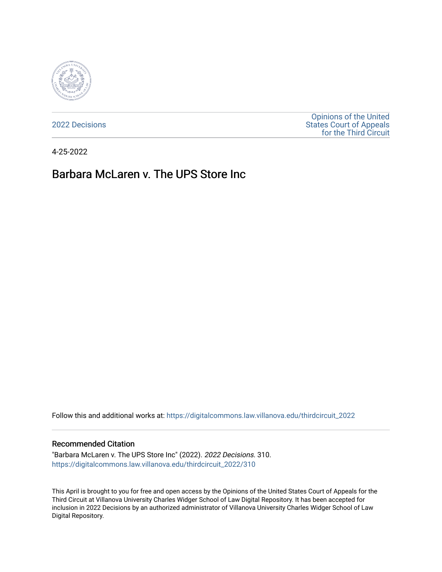

[2022 Decisions](https://digitalcommons.law.villanova.edu/thirdcircuit_2022)

[Opinions of the United](https://digitalcommons.law.villanova.edu/thirdcircuit)  [States Court of Appeals](https://digitalcommons.law.villanova.edu/thirdcircuit)  [for the Third Circuit](https://digitalcommons.law.villanova.edu/thirdcircuit) 

4-25-2022

# Barbara McLaren v. The UPS Store Inc.

Follow this and additional works at: [https://digitalcommons.law.villanova.edu/thirdcircuit\\_2022](https://digitalcommons.law.villanova.edu/thirdcircuit_2022?utm_source=digitalcommons.law.villanova.edu%2Fthirdcircuit_2022%2F310&utm_medium=PDF&utm_campaign=PDFCoverPages) 

#### Recommended Citation

"Barbara McLaren v. The UPS Store Inc" (2022). 2022 Decisions. 310. [https://digitalcommons.law.villanova.edu/thirdcircuit\\_2022/310](https://digitalcommons.law.villanova.edu/thirdcircuit_2022/310?utm_source=digitalcommons.law.villanova.edu%2Fthirdcircuit_2022%2F310&utm_medium=PDF&utm_campaign=PDFCoverPages)

This April is brought to you for free and open access by the Opinions of the United States Court of Appeals for the Third Circuit at Villanova University Charles Widger School of Law Digital Repository. It has been accepted for inclusion in 2022 Decisions by an authorized administrator of Villanova University Charles Widger School of Law Digital Repository.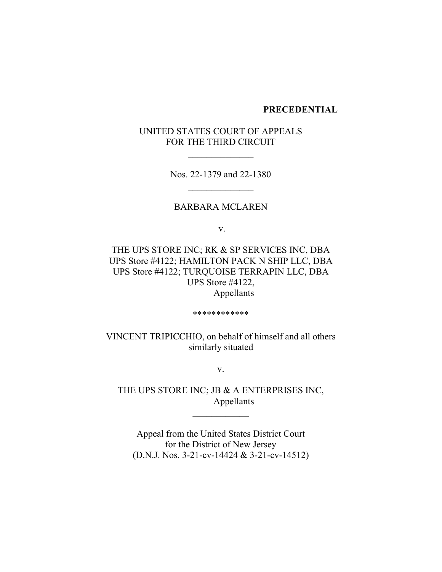### **PRECEDENTIAL**

# UNITED STATES COURT OF APPEALS FOR THE THIRD CIRCUIT

 $\frac{1}{2}$ 

Nos. 22-1379 and 22-1380  $\frac{1}{2}$ 

### BARBARA MCLAREN

v.

THE UPS STORE INC; RK & SP SERVICES INC, DBA UPS Store #4122; HAMILTON PACK N SHIP LLC, DBA UPS Store #4122; TURQUOISE TERRAPIN LLC, DBA UPS Store #4122, Appellants

\*\*\*\*\*\*\*\*\*\*\*\*

VINCENT TRIPICCHIO, on behalf of himself and all others similarly situated

v.

THE UPS STORE INC; JB & A ENTERPRISES INC, Appellants

 $\frac{1}{2}$ 

Appeal from the United States District Court for the District of New Jersey (D.N.J. Nos. 3-21-cv-14424 & 3-21-cv-14512)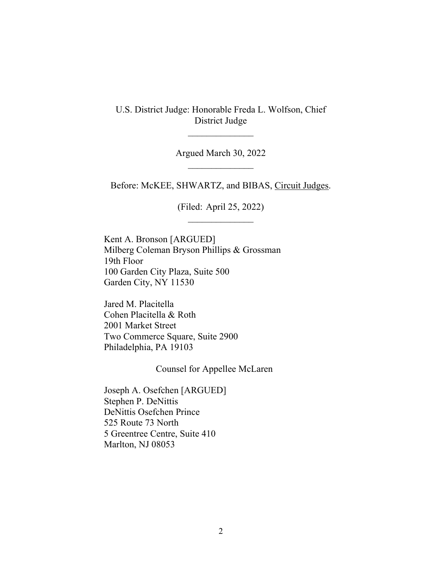U.S. District Judge: Honorable Freda L. Wolfson, Chief District Judge

 $\overline{\phantom{a}}$  , where  $\overline{\phantom{a}}$ 

Argued March 30, 2022  $\frac{1}{2}$ 

Before: McKEE, SHWARTZ, and BIBAS, Circuit Judges.

(Filed: April 25, 2022)

Kent A. Bronson [ARGUED] Milberg Coleman Bryson Phillips & Grossman 19th Floor 100 Garden City Plaza, Suite 500 Garden City, NY 11530

Jared M. Placitella Cohen Placitella & Roth 2001 Market Street Two Commerce Square, Suite 2900 Philadelphia, PA 19103

Counsel for Appellee McLaren

Joseph A. Osefchen [ARGUED] Stephen P. DeNittis DeNittis Osefchen Prince 525 Route 73 North 5 Greentree Centre, Suite 410 Marlton, NJ 08053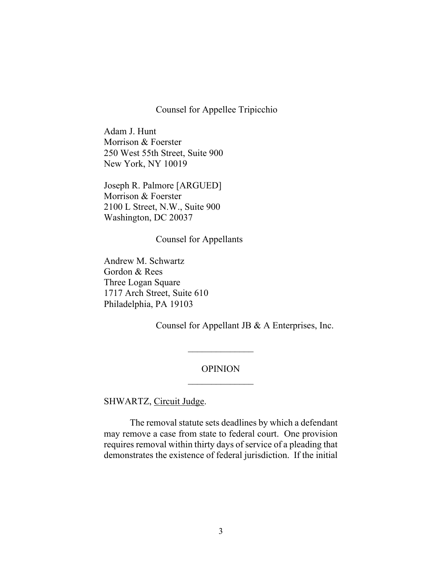#### Counsel for Appellee Tripicchio

Adam J. Hunt Morrison & Foerster 250 West 55th Street, Suite 900 New York, NY 10019

Joseph R. Palmore [ARGUED] Morrison & Foerster 2100 L Street, N.W., Suite 900 Washington, DC 20037

Counsel for Appellants

Andrew M. Schwartz Gordon & Rees Three Logan Square 1717 Arch Street, Suite 610 Philadelphia, PA 19103

Counsel for Appellant JB & A Enterprises, Inc.

## OPINION  $\frac{1}{2}$

 $\overline{\phantom{a}}$  , where  $\overline{\phantom{a}}$ 

SHWARTZ, Circuit Judge.

The removal statute sets deadlines by which a defendant may remove a case from state to federal court. One provision requires removal within thirty days of service of a pleading that demonstrates the existence of federal jurisdiction. If the initial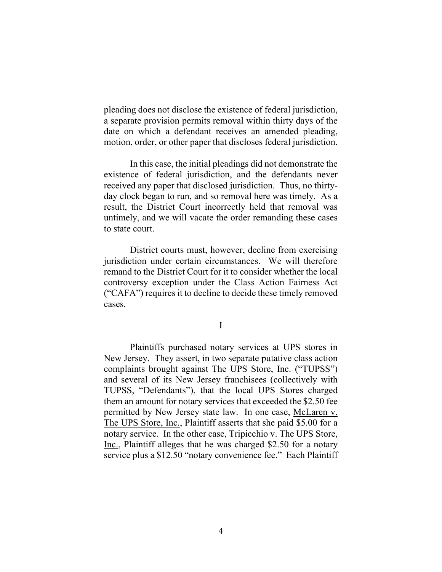pleading does not disclose the existence of federal jurisdiction, a separate provision permits removal within thirty days of the date on which a defendant receives an amended pleading, motion, order, or other paper that discloses federal jurisdiction.

In this case, the initial pleadings did not demonstrate the existence of federal jurisdiction, and the defendants never received any paper that disclosed jurisdiction. Thus, no thirtyday clock began to run, and so removal here was timely. As a result, the District Court incorrectly held that removal was untimely, and we will vacate the order remanding these cases to state court.

District courts must, however, decline from exercising jurisdiction under certain circumstances. We will therefore remand to the District Court for it to consider whether the local controversy exception under the Class Action Fairness Act ("CAFA") requires it to decline to decide these timely removed cases.

I

Plaintiffs purchased notary services at UPS stores in New Jersey. They assert, in two separate putative class action complaints brought against The UPS Store, Inc. ("TUPSS") and several of its New Jersey franchisees (collectively with TUPSS, "Defendants"), that the local UPS Stores charged them an amount for notary services that exceeded the \$2.50 fee permitted by New Jersey state law. In one case, McLaren v. The UPS Store, Inc., Plaintiff asserts that she paid \$5.00 for a notary service. In the other case, Tripicchio v. The UPS Store, Inc., Plaintiff alleges that he was charged \$2.50 for a notary service plus a \$12.50 "notary convenience fee." Each Plaintiff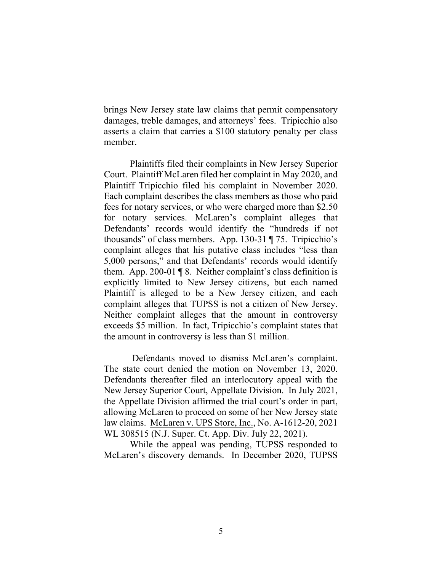brings New Jersey state law claims that permit compensatory damages, treble damages, and attorneys' fees. Tripicchio also asserts a claim that carries a \$100 statutory penalty per class member.

Plaintiffs filed their complaints in New Jersey Superior Court. Plaintiff McLaren filed her complaint in May 2020, and Plaintiff Tripicchio filed his complaint in November 2020. Each complaint describes the class members as those who paid fees for notary services, or who were charged more than \$2.50 for notary services. McLaren's complaint alleges that Defendants' records would identify the "hundreds if not thousands" of class members. App. 130-31 ¶ 75. Tripicchio's complaint alleges that his putative class includes "less than 5,000 persons," and that Defendants' records would identify them. App. 200-01 ¶ 8.Neither complaint's class definition is explicitly limited to New Jersey citizens, but each named Plaintiff is alleged to be a New Jersey citizen, and each complaint alleges that TUPSS is not a citizen of New Jersey. Neither complaint alleges that the amount in controversy exceeds \$5 million. In fact, Tripicchio's complaint states that the amount in controversy is less than \$1 million.

Defendants moved to dismiss McLaren's complaint. The state court denied the motion on November 13, 2020. Defendants thereafter filed an interlocutory appeal with the New Jersey Superior Court, Appellate Division. In July 2021, the Appellate Division affirmed the trial court's order in part, allowing McLaren to proceed on some of her New Jersey state law claims. McLaren v. UPS Store, Inc., No. A-1612-20, 2021 WL 308515 (N.J. Super. Ct. App. Div. July 22, 2021).

While the appeal was pending, TUPSS responded to McLaren's discovery demands. In December 2020, TUPSS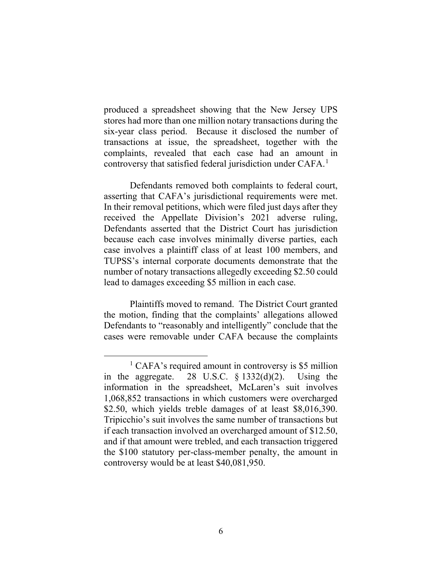produced a spreadsheet showing that the New Jersey UPS stores had more than one million notary transactions during the six-year class period. Because it disclosed the number of transactions at issue, the spreadsheet, together with the complaints, revealed that each case had an amount in controversy that satisfied federal jurisdiction under CAFA.<sup>1</sup>

Defendants removed both complaints to federal court, asserting that CAFA's jurisdictional requirements were met. In their removal petitions, which were filed just days after they received the Appellate Division's 2021 adverse ruling, Defendants asserted that the District Court has jurisdiction because each case involves minimally diverse parties, each case involves a plaintiff class of at least 100 members, and TUPSS's internal corporate documents demonstrate that the number of notary transactions allegedly exceeding \$2.50 could lead to damages exceeding \$5 million in each case.

Plaintiffs moved to remand. The District Court granted the motion, finding that the complaints' allegations allowed Defendants to "reasonably and intelligently" conclude that the cases were removable under CAFA because the complaints

<sup>&</sup>lt;sup>1</sup> CAFA's required amount in controversy is \$5 million in the aggregate. 28 U.S.C.  $\S$  1332(d)(2). Using the information in the spreadsheet, McLaren's suit involves 1,068,852 transactions in which customers were overcharged \$2.50, which yields treble damages of at least \$8,016,390. Tripicchio's suit involves the same number of transactions but if each transaction involved an overcharged amount of \$12.50, and if that amount were trebled, and each transaction triggered the \$100 statutory per-class-member penalty, the amount in controversy would be at least \$40,081,950.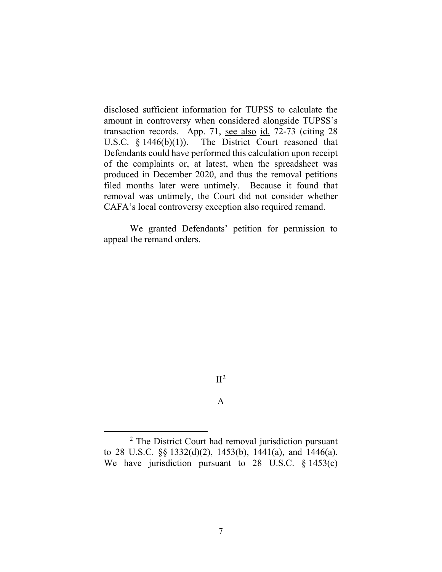disclosed sufficient information for TUPSS to calculate the amount in controversy when considered alongside TUPSS's transaction records. App. 71, see also id. 72-73 (citing 28 U.S.C. § 1446(b)(1)). The District Court reasoned that Defendants could have performed this calculation upon receipt of the complaints or, at latest, when the spreadsheet was produced in December 2020, and thus the removal petitions filed months later were untimely. Because it found that removal was untimely, the Court did not consider whether CAFA's local controversy exception also required remand.

We granted Defendants' petition for permission to appeal the remand orders.

### $II<sup>2</sup>$

A

<sup>&</sup>lt;sup>2</sup> The District Court had removal jurisdiction pursuant to 28 U.S.C. §§ 1332(d)(2), 1453(b), 1441(a), and 1446(a). We have jurisdiction pursuant to 28 U.S.C. § 1453(c)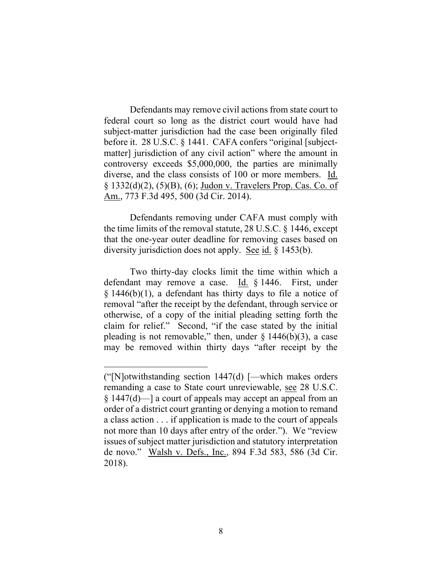Defendants may remove civil actions from state court to federal court so long as the district court would have had subject-matter jurisdiction had the case been originally filed before it. 28 U.S.C. § 1441. CAFA confers "original [subjectmatter] jurisdiction of any civil action" where the amount in controversy exceeds \$5,000,000, the parties are minimally diverse, and the class consists of 100 or more members. Id. § 1332(d)(2), (5)(B), (6); Judon v. Travelers Prop. Cas. Co. of Am., 773 F.3d 495, 500 (3d Cir. 2014).

Defendants removing under CAFA must comply with the time limits of the removal statute, 28 U.S.C. § 1446, except that the one-year outer deadline for removing cases based on diversity jurisdiction does not apply. See id. § 1453(b).

Two thirty-day clocks limit the time within which a defendant may remove a case.  $\underline{Id.}$  § 1446. First, under  $\S$  1446(b)(1), a defendant has thirty days to file a notice of removal "after the receipt by the defendant, through service or otherwise, of a copy of the initial pleading setting forth the claim for relief." Second, "if the case stated by the initial pleading is not removable," then, under  $\S$  1446(b)(3), a case may be removed within thirty days "after receipt by the

<sup>(&</sup>quot;[N]otwithstanding section 1447(d) [—which makes orders remanding a case to State court unreviewable, see 28 U.S.C. § 1447(d)—] a court of appeals may accept an appeal from an order of a district court granting or denying a motion to remand a class action . . . if application is made to the court of appeals not more than 10 days after entry of the order."). We "review issues of subject matter jurisdiction and statutory interpretation de novo." Walsh v. Defs., Inc., 894 F.3d 583, 586 (3d Cir. 2018).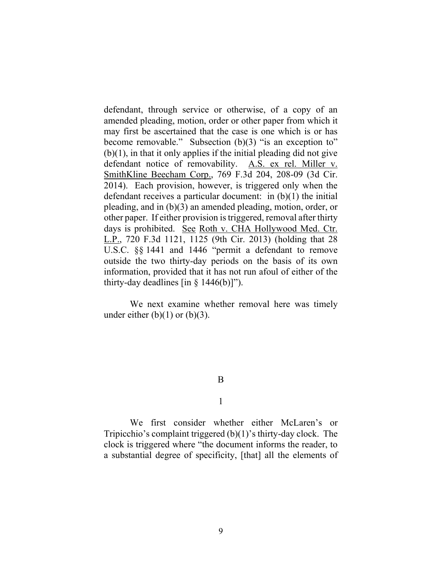defendant, through service or otherwise, of a copy of an amended pleading, motion, order or other paper from which it may first be ascertained that the case is one which is or has become removable." Subsection (b)(3) "is an exception to"  $(b)(1)$ , in that it only applies if the initial pleading did not give defendant notice of removability. A.S. ex rel. Miller v. SmithKline Beecham Corp., 769 F.3d 204, 208-09 (3d Cir. 2014). Each provision, however, is triggered only when the defendant receives a particular document: in (b)(1) the initial pleading, and in (b)(3) an amended pleading, motion, order, or other paper. If either provision is triggered, removal after thirty days is prohibited. See Roth v. CHA Hollywood Med. Ctr. L.P., 720 F.3d 1121, 1125 (9th Cir. 2013) (holding that 28 U.S.C. §§ 1441 and 1446 "permit a defendant to remove outside the two thirty-day periods on the basis of its own information, provided that it has not run afoul of either of the thirty-day deadlines  $\left[ \text{in } \S 1446(b) \right]$ ").

We next examine whether removal here was timely under either  $(b)(1)$  or  $(b)(3)$ .

#### B

1

We first consider whether either McLaren's or Tripicchio's complaint triggered (b)(1)'s thirty-day clock. The clock is triggered where "the document informs the reader, to a substantial degree of specificity, [that] all the elements of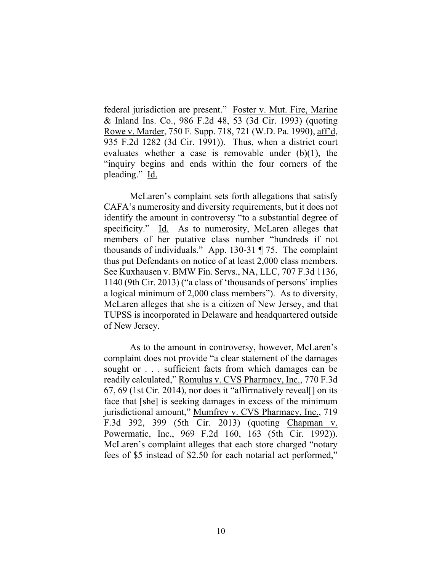federal jurisdiction are present." Foster v. Mut. Fire, Marine & Inland Ins. Co., 986 F.2d 48, 53 (3d Cir. 1993) (quoting Rowe v. Marder, 750 F. Supp. 718, 721 (W.D. Pa. 1990), aff'd, 935 F.2d 1282 (3d Cir. 1991)). Thus, when a district court evaluates whether a case is removable under (b)(1), the "inquiry begins and ends within the four corners of the pleading." Id.

McLaren's complaint sets forth allegations that satisfy CAFA's numerosity and diversity requirements, but it does not identify the amount in controversy "to a substantial degree of specificity." Id. As to numerosity, McLaren alleges that members of her putative class number "hundreds if not thousands of individuals." App. 130-31 ¶ 75. The complaint thus put Defendants on notice of at least 2,000 class members. See Kuxhausen v. BMW Fin. Servs., NA, LLC, 707 F.3d 1136, 1140 (9th Cir. 2013) ("a class of 'thousands of persons' implies a logical minimum of 2,000 class members"). As to diversity, McLaren alleges that she is a citizen of New Jersey, and that TUPSS is incorporated in Delaware and headquartered outside of New Jersey.

As to the amount in controversy, however, McLaren's complaint does not provide "a clear statement of the damages sought or . . . sufficient facts from which damages can be readily calculated," Romulus v. CVS Pharmacy, Inc., 770 F.3d 67, 69 (1st Cir. 2014), nor does it "affirmatively reveal[] on its face that [she] is seeking damages in excess of the minimum jurisdictional amount," Mumfrey v. CVS Pharmacy, Inc., 719 F.3d 392, 399 (5th Cir. 2013) (quoting Chapman v. Powermatic, Inc., 969 F.2d 160, 163 (5th Cir. 1992)). McLaren's complaint alleges that each store charged "notary fees of \$5 instead of \$2.50 for each notarial act performed,"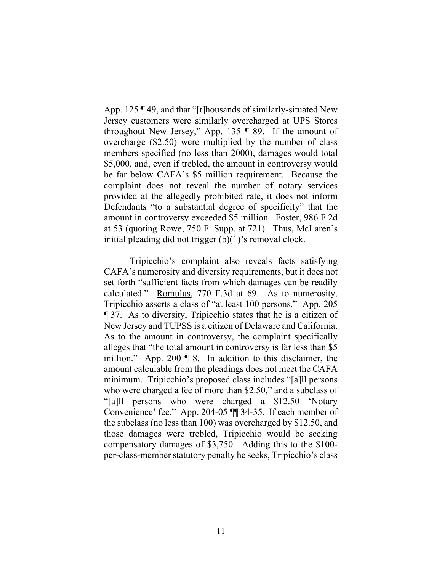App. 125 ¶ 49, and that "[t]housands of similarly-situated New Jersey customers were similarly overcharged at UPS Stores throughout New Jersey," App. 135 ¶ 89. If the amount of overcharge (\$2.50) were multiplied by the number of class members specified (no less than 2000), damages would total \$5,000, and, even if trebled, the amount in controversy would be far below CAFA's \$5 million requirement. Because the complaint does not reveal the number of notary services provided at the allegedly prohibited rate, it does not inform Defendants "to a substantial degree of specificity" that the amount in controversy exceeded \$5 million. Foster, 986 F.2d at 53 (quoting Rowe, 750 F. Supp. at 721). Thus, McLaren's initial pleading did not trigger (b)(1)'s removal clock.

Tripicchio's complaint also reveals facts satisfying CAFA's numerosity and diversity requirements, but it does not set forth "sufficient facts from which damages can be readily calculated." Romulus, 770 F.3d at 69. As to numerosity, Tripicchio asserts a class of "at least 100 persons." App. 205 ¶ 37. As to diversity, Tripicchio states that he is a citizen of New Jersey and TUPSS is a citizen of Delaware and California. As to the amount in controversy, the complaint specifically alleges that "the total amount in controversy is far less than \$5 million." App. 200 ¶ 8. In addition to this disclaimer, the amount calculable from the pleadings does not meet the CAFA minimum. Tripicchio's proposed class includes "[a]ll persons who were charged a fee of more than \$2.50," and a subclass of "[a]ll persons who were charged a \$12.50 'Notary Convenience' fee." App. 204-05 ¶¶ 34-35. If each member of the subclass (no less than 100) was overcharged by \$12.50, and those damages were trebled, Tripicchio would be seeking compensatory damages of \$3,750. Adding this to the \$100 per-class-member statutory penalty he seeks, Tripicchio's class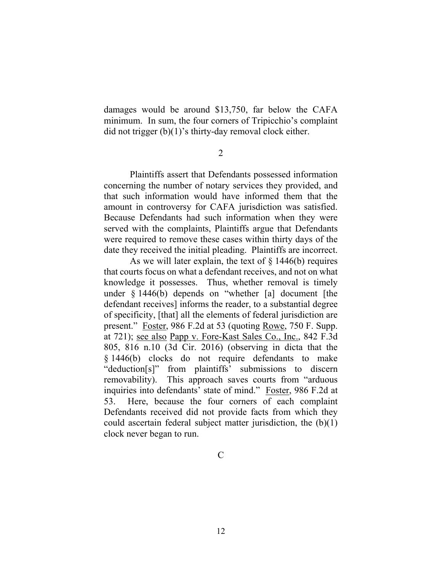damages would be around \$13,750, far below the CAFA minimum. In sum, the four corners of Tripicchio's complaint did not trigger (b)(1)'s thirty-day removal clock either.

2

Plaintiffs assert that Defendants possessed information concerning the number of notary services they provided, and that such information would have informed them that the amount in controversy for CAFA jurisdiction was satisfied. Because Defendants had such information when they were served with the complaints, Plaintiffs argue that Defendants were required to remove these cases within thirty days of the date they received the initial pleading. Plaintiffs are incorrect.

As we will later explain, the text of  $\S$  1446(b) requires that courts focus on what a defendant receives, and not on what knowledge it possesses. Thus, whether removal is timely under § 1446(b) depends on "whether [a] document [the defendant receives] informs the reader, to a substantial degree of specificity, [that] all the elements of federal jurisdiction are present." Foster, 986 F.2d at 53 (quoting Rowe, 750 F. Supp. at 721); see also Papp v. Fore-Kast Sales Co., Inc., 842 F.3d 805, 816 n.10 (3d Cir. 2016) (observing in dicta that the § 1446(b) clocks do not require defendants to make "deduction[s]" from plaintiffs' submissions to discern removability). This approach saves courts from "arduous inquiries into defendants' state of mind." Foster, 986 F.2d at 53. Here, because the four corners of each complaint Defendants received did not provide facts from which they could ascertain federal subject matter jurisdiction, the  $(b)(1)$ clock never began to run.

C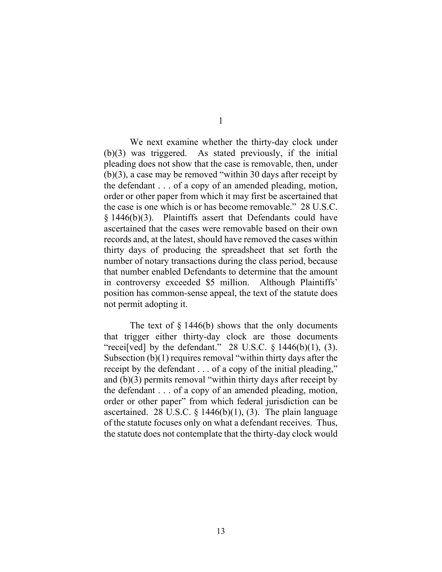We next examine whether the thirty-day clock under (b)(3) was triggered. As stated previously, if the initial pleading does not show that the case is removable, then, under (b)(3), a case may be removed "within 30 days after receipt by the defendant . . . of a copy of an amended pleading, motion, order or other paper from which it may first be ascertained that the case is one which is or has become removable." 28 U.S.C. § 1446(b)(3). Plaintiffs assert that Defendants could have ascertained that the cases were removable based on their own records and, at the latest, should have removed the cases within thirty days of producing the spreadsheet that set forth the number of notary transactions during the class period, because that number enabled Defendants to determine that the amount in controversy exceeded \$5 million. Although Plaintiffs' position has common-sense appeal, the text of the statute does not permit adopting it.

The text of  $\S$  1446(b) shows that the only documents that trigger either thirty-day clock are those documents "recei[ved] by the defendant." 28 U.S.C.  $\S$  1446(b)(1), (3). Subsection (b)(1) requires removal "within thirty days after the receipt by the defendant . . . of a copy of the initial pleading," and (b)(3) permits removal "within thirty days after receipt by the defendant . . . of a copy of an amended pleading, motion, order or other paper" from which federal jurisdiction can be ascertained. 28 U.S.C.  $\S$  1446(b)(1), (3). The plain language of the statute focuses only on what a defendant receives. Thus, the statute does not contemplate that the thirty-day clock would

1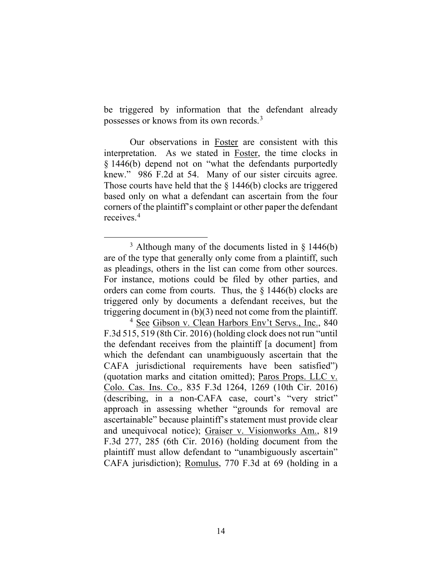be triggered by information that the defendant already possesses or knows from its own records.<sup>3</sup>

Our observations in Foster are consistent with this interpretation. As we stated in Foster, the time clocks in § 1446(b) depend not on "what the defendants purportedly knew." 986 F.2d at 54. Many of our sister circuits agree. Those courts have held that the § 1446(b) clocks are triggered based only on what a defendant can ascertain from the four corners of the plaintiff's complaint or other paper the defendant receives.4

<sup>&</sup>lt;sup>3</sup> Although many of the documents listed in  $\S$  1446(b) are of the type that generally only come from a plaintiff, such as pleadings, others in the list can come from other sources. For instance, motions could be filed by other parties, and orders can come from courts. Thus, the § 1446(b) clocks are triggered only by documents a defendant receives, but the triggering document in (b)(3) need not come from the plaintiff.

<sup>&</sup>lt;sup>4</sup> See Gibson v. Clean Harbors Env't Servs., Inc., 840 F.3d 515, 519 (8th Cir. 2016) (holding clock does not run "until the defendant receives from the plaintiff [a document] from which the defendant can unambiguously ascertain that the CAFA jurisdictional requirements have been satisfied") (quotation marks and citation omitted); Paros Props. LLC v. Colo. Cas. Ins. Co., 835 F.3d 1264, 1269 (10th Cir. 2016) (describing, in a non-CAFA case, court's "very strict" approach in assessing whether "grounds for removal are ascertainable" because plaintiff's statement must provide clear and unequivocal notice); Graiser v. Visionworks Am., 819 F.3d 277, 285 (6th Cir. 2016) (holding document from the plaintiff must allow defendant to "unambiguously ascertain" CAFA jurisdiction); Romulus, 770 F.3d at 69 (holding in a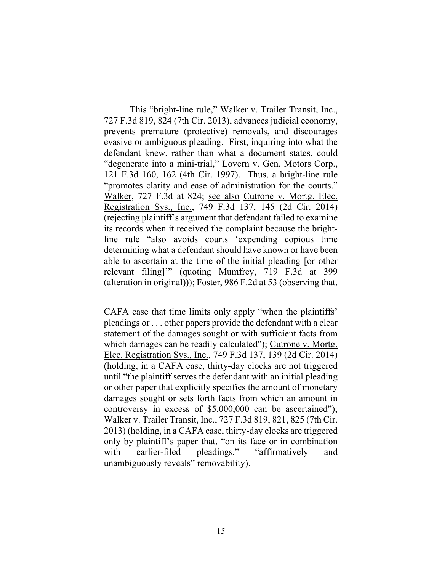This "bright-line rule," Walker v. Trailer Transit, Inc., 727 F.3d 819, 824 (7th Cir. 2013), advances judicial economy, prevents premature (protective) removals, and discourages evasive or ambiguous pleading. First, inquiring into what the defendant knew, rather than what a document states, could "degenerate into a mini-trial," Lovern v. Gen. Motors Corp., 121 F.3d 160, 162 (4th Cir. 1997). Thus, a bright-line rule "promotes clarity and ease of administration for the courts." Walker, 727 F.3d at 824; see also Cutrone v. Mortg. Elec. Registration Sys., Inc., 749 F.3d 137, 145 (2d Cir. 2014) (rejecting plaintiff's argument that defendant failed to examine its records when it received the complaint because the brightline rule "also avoids courts 'expending copious time determining what a defendant should have known or have been able to ascertain at the time of the initial pleading [or other relevant filing]'" (quoting Mumfrey, 719 F.3d at 399 (alteration in original))); Foster, 986 F.2d at 53 (observing that,

CAFA case that time limits only apply "when the plaintiffs' pleadings or . . . other papers provide the defendant with a clear statement of the damages sought or with sufficient facts from which damages can be readily calculated"); Cutrone v. Mortg. Elec. Registration Sys., Inc., 749 F.3d 137, 139 (2d Cir. 2014) (holding, in a CAFA case, thirty-day clocks are not triggered until "the plaintiff serves the defendant with an initial pleading or other paper that explicitly specifies the amount of monetary damages sought or sets forth facts from which an amount in controversy in excess of \$5,000,000 can be ascertained"); Walker v. Trailer Transit, Inc., 727 F.3d 819, 821, 825 (7th Cir. 2013) (holding, in a CAFA case, thirty-day clocks are triggered only by plaintiff's paper that, "on its face or in combination with earlier-filed pleadings," "affirmatively and unambiguously reveals" removability).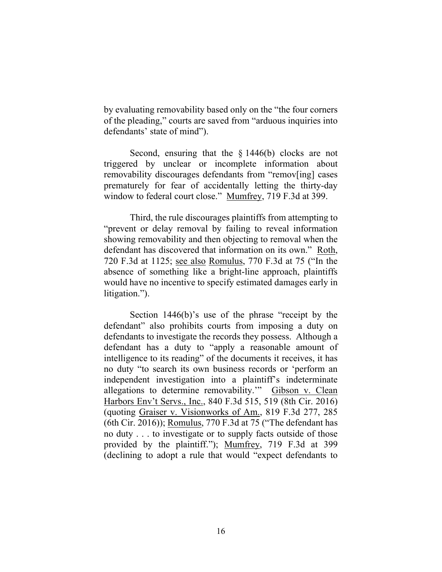by evaluating removability based only on the "the four corners of the pleading," courts are saved from "arduous inquiries into defendants' state of mind").

Second, ensuring that the  $\S 1446(b)$  clocks are not triggered by unclear or incomplete information about removability discourages defendants from "remov[ing] cases prematurely for fear of accidentally letting the thirty-day window to federal court close." Mumfrey, 719 F.3d at 399.

Third, the rule discourages plaintiffs from attempting to "prevent or delay removal by failing to reveal information showing removability and then objecting to removal when the defendant has discovered that information on its own." Roth, 720 F.3d at 1125; see also Romulus, 770 F.3d at 75 ("In the absence of something like a bright-line approach, plaintiffs would have no incentive to specify estimated damages early in litigation.").

Section 1446(b)'s use of the phrase "receipt by the defendant" also prohibits courts from imposing a duty on defendants to investigate the records they possess. Although a defendant has a duty to "apply a reasonable amount of intelligence to its reading" of the documents it receives, it has no duty "to search its own business records or 'perform an independent investigation into a plaintiff's indeterminate allegations to determine removability.'" Gibson v. Clean Harbors Env't Servs., Inc., 840 F.3d 515, 519 (8th Cir. 2016) (quoting Graiser v. Visionworks of Am., 819 F.3d 277, 285 (6th Cir. 2016)); Romulus, 770 F.3d at 75 ("The defendant has no duty . . . to investigate or to supply facts outside of those provided by the plaintiff."); Mumfrey, 719 F.3d at 399 (declining to adopt a rule that would "expect defendants to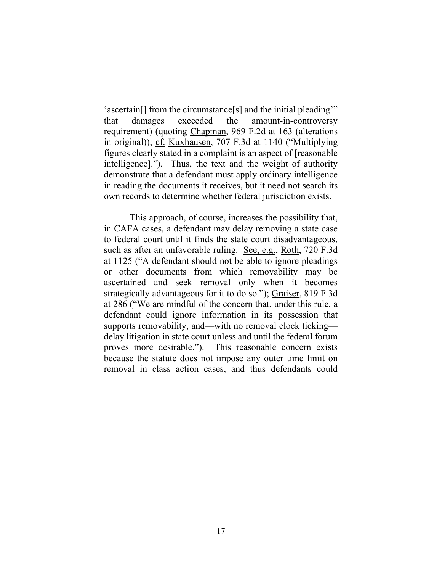'ascertain[] from the circumstance[s] and the initial pleading'" that damages exceeded the amount-in-controversy requirement) (quoting Chapman, 969 F.2d at 163 (alterations in original)); cf. Kuxhausen, 707 F.3d at 1140 ("Multiplying figures clearly stated in a complaint is an aspect of [reasonable intelligence]."). Thus, the text and the weight of authority demonstrate that a defendant must apply ordinary intelligence in reading the documents it receives, but it need not search its own records to determine whether federal jurisdiction exists.

This approach, of course, increases the possibility that, in CAFA cases, a defendant may delay removing a state case to federal court until it finds the state court disadvantageous, such as after an unfavorable ruling. See, e.g., Roth, 720 F.3d at 1125 ("A defendant should not be able to ignore pleadings or other documents from which removability may be ascertained and seek removal only when it becomes strategically advantageous for it to do so."); Graiser, 819 F.3d at 286 ("We are mindful of the concern that, under this rule, a defendant could ignore information in its possession that supports removability, and—with no removal clock ticking delay litigation in state court unless and until the federal forum proves more desirable."). This reasonable concern exists because the statute does not impose any outer time limit on removal in class action cases, and thus defendants could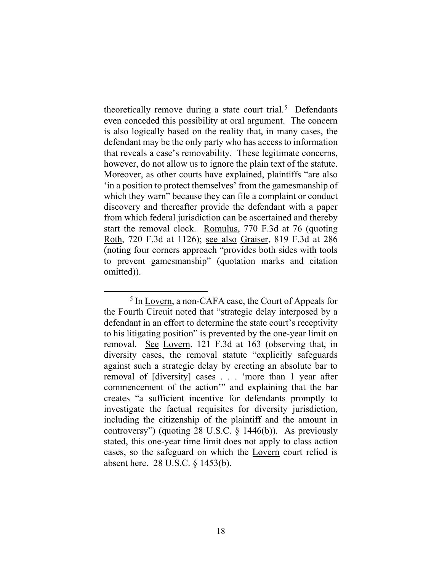theoretically remove during a state court trial.<sup>5</sup> Defendants even conceded this possibility at oral argument. The concern is also logically based on the reality that, in many cases, the defendant may be the only party who has access to information that reveals a case's removability. These legitimate concerns, however, do not allow us to ignore the plain text of the statute. Moreover, as other courts have explained, plaintiffs "are also 'in a position to protect themselves' from the gamesmanship of which they warn" because they can file a complaint or conduct discovery and thereafter provide the defendant with a paper from which federal jurisdiction can be ascertained and thereby start the removal clock. Romulus, 770 F.3d at 76 (quoting Roth, 720 F.3d at 1126); see also Graiser, 819 F.3d at 286 (noting four corners approach "provides both sides with tools to prevent gamesmanship" (quotation marks and citation omitted)).

<sup>5</sup> In Lovern, a non-CAFA case, the Court of Appeals for the Fourth Circuit noted that "strategic delay interposed by a defendant in an effort to determine the state court's receptivity to his litigating position" is prevented by the one-year limit on removal. See Lovern, 121 F.3d at 163 (observing that, in diversity cases, the removal statute "explicitly safeguards against such a strategic delay by erecting an absolute bar to removal of [diversity] cases . . . 'more than 1 year after commencement of the action'" and explaining that the bar creates "a sufficient incentive for defendants promptly to investigate the factual requisites for diversity jurisdiction, including the citizenship of the plaintiff and the amount in controversy") (quoting 28 U.S.C. § 1446(b)). As previously stated, this one-year time limit does not apply to class action cases, so the safeguard on which the Lovern court relied is absent here. 28 U.S.C. § 1453(b).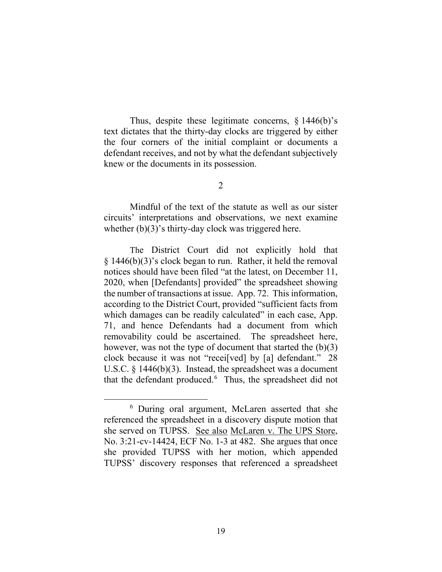Thus, despite these legitimate concerns, § 1446(b)'s text dictates that the thirty-day clocks are triggered by either the four corners of the initial complaint or documents a defendant receives, and not by what the defendant subjectively knew or the documents in its possession.

2

Mindful of the text of the statute as well as our sister circuits' interpretations and observations, we next examine whether  $(b)(3)$ 's thirty-day clock was triggered here.

The District Court did not explicitly hold that § 1446(b)(3)'s clock began to run. Rather, it held the removal notices should have been filed "at the latest, on December 11, 2020, when [Defendants] provided" the spreadsheet showing the number of transactions at issue. App. 72. This information, according to the District Court, provided "sufficient facts from which damages can be readily calculated" in each case, App. 71, and hence Defendants had a document from which removability could be ascertained. The spreadsheet here, however, was not the type of document that started the  $(b)(3)$ clock because it was not "recei[ved] by [a] defendant." 28 U.S.C. § 1446(b)(3). Instead, the spreadsheet was a document that the defendant produced.<sup>6</sup> Thus, the spreadsheet did not

<sup>6</sup> During oral argument, McLaren asserted that she referenced the spreadsheet in a discovery dispute motion that she served on TUPSS. See also McLaren v. The UPS Store, No. 3:21-cv-14424, ECF No. 1-3 at 482. She argues that once she provided TUPSS with her motion, which appended TUPSS' discovery responses that referenced a spreadsheet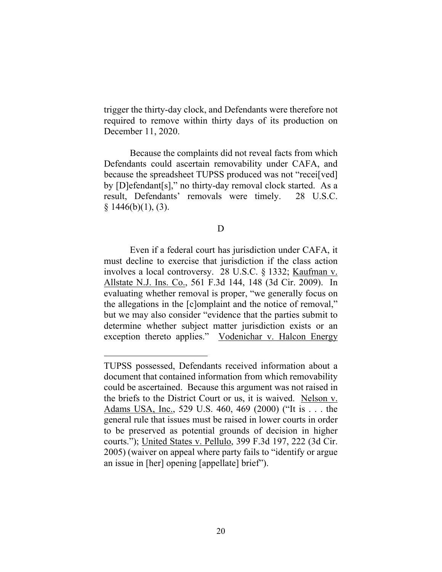trigger the thirty-day clock, and Defendants were therefore not required to remove within thirty days of its production on December 11, 2020.

Because the complaints did not reveal facts from which Defendants could ascertain removability under CAFA, and because the spreadsheet TUPSS produced was not "recei[ved] by [D]efendant[s]," no thirty-day removal clock started. As a result, Defendants' removals were timely. 28 U.S.C.  $§ 1446(b)(1), (3).$ 

### D

Even if a federal court has jurisdiction under CAFA, it must decline to exercise that jurisdiction if the class action involves a local controversy. 28 U.S.C. § 1332; Kaufman v. Allstate N.J. Ins. Co., 561 F.3d 144, 148 (3d Cir. 2009). In evaluating whether removal is proper, "we generally focus on the allegations in the [c]omplaint and the notice of removal," but we may also consider "evidence that the parties submit to determine whether subject matter jurisdiction exists or an exception thereto applies." Vodenichar v. Halcon Energy

TUPSS possessed, Defendants received information about a document that contained information from which removability could be ascertained. Because this argument was not raised in the briefs to the District Court or us, it is waived. Nelson v. Adams USA, Inc., 529 U.S. 460, 469 (2000) ("It is . . . the general rule that issues must be raised in lower courts in order to be preserved as potential grounds of decision in higher courts."); United States v. Pellulo, 399 F.3d 197, 222 (3d Cir. 2005) (waiver on appeal where party fails to "identify or argue an issue in [her] opening [appellate] brief").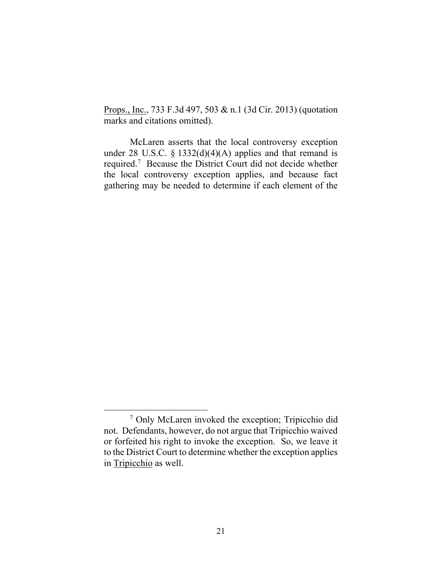Props., Inc., 733 F.3d 497, 503 & n.1 (3d Cir. 2013) (quotation marks and citations omitted).

McLaren asserts that the local controversy exception under 28 U.S.C. § 1332(d)(4)(A) applies and that remand is required. 7 Because the District Court did not decide whether the local controversy exception applies, and because fact gathering may be needed to determine if each element of the

<sup>7</sup> Only McLaren invoked the exception; Tripicchio did not. Defendants, however, do not argue that Tripicchio waived or forfeited his right to invoke the exception. So, we leave it to the District Court to determine whether the exception applies in Tripicchio as well.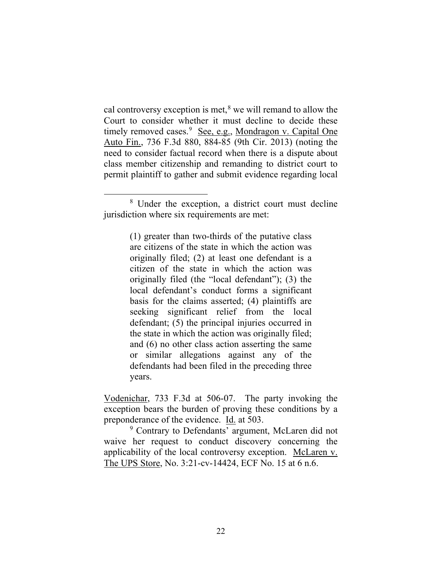cal controversy exception is met, $\delta$  we will remand to allow the Court to consider whether it must decline to decide these timely removed cases.<sup>9</sup> See, e.g., Mondragon v. Capital One Auto Fin., 736 F.3d 880, 884-85 (9th Cir. 2013) (noting the need to consider factual record when there is a dispute about class member citizenship and remanding to district court to permit plaintiff to gather and submit evidence regarding local

(1) greater than two-thirds of the putative class are citizens of the state in which the action was originally filed; (2) at least one defendant is a citizen of the state in which the action was originally filed (the "local defendant"); (3) the local defendant's conduct forms a significant basis for the claims asserted; (4) plaintiffs are seeking significant relief from the local defendant; (5) the principal injuries occurred in the state in which the action was originally filed; and (6) no other class action asserting the same or similar allegations against any of the defendants had been filed in the preceding three years.

Vodenichar, 733 F.3d at 506-07. The party invoking the exception bears the burden of proving these conditions by a preponderance of the evidence. <u>Id.</u> at 503.<br><sup>9</sup> Contrary to Defendants' argument, McLaren did not

waive her request to conduct discovery concerning the applicability of the local controversy exception. McLaren v. The UPS Store, No. 3:21-cv-14424, ECF No. 15 at 6 n.6.

<sup>8</sup> Under the exception, a district court must decline jurisdiction where six requirements are met: